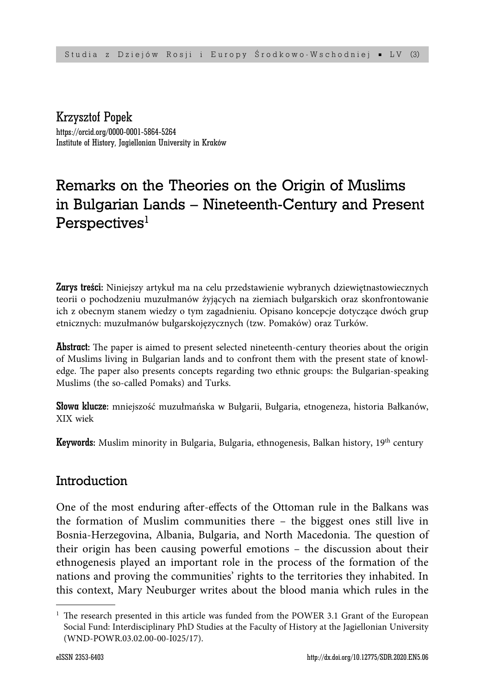Krzysztof Popek https://orcid.org/0000-0001-5864-5264 Institute of History, Jagiellonian University in Kraków

# Remarks on the Theories on the Origin of Muslims in Bulgarian Lands – Nineteenth-Century and Present Perspectives<sup>1</sup>

Zarys treści: Niniejszy artykuł ma na celu przedstawienie wybranych dziewiętnastowiecznych teorii o pochodzeniu muzułmanów żyjących na ziemiach bułgarskich oraz skonfrontowanie ich z obecnym stanem wiedzy o tym zagadnieniu. Opisano koncepcje dotyczące dwóch grup etnicznych: muzułmanów bułgarskojęzycznych (tzw. Pomaków) oraz Turków.

**Abstract:** The paper is aimed to present selected nineteenth-century theories about the origin of Muslims living in Bulgarian lands and to confront them with the present state of knowledge. The paper also presents concepts regarding two ethnic groups: the Bulgarian-speaking Muslims (the so-called Pomaks) and Turks.

Słowa klucze: mniejszość muzułmańska w Bułgarii, Bułgaria, etnogeneza, historia Bałkanów, XIX wiek

**Keywords:** Muslim minority in Bulgaria, Bulgaria, ethnogenesis, Balkan history, 19<sup>th</sup> century

# Introduction

One of the most enduring after-effects of the Ottoman rule in the Balkans was the formation of Muslim communities there – the biggest ones still live in Bosnia-Herzegovina, Albania, Bulgaria, and North Macedonia. The question of their origin has been causing powerful emotions – the discussion about their ethnogenesis played an important role in the process of the formation of the nations and proving the communities' rights to the territories they inhabited. In this context, Mary Neuburger writes about the blood mania which rules in the

<sup>&</sup>lt;sup>1</sup> The research presented in this article was funded from the POWER 3.1 Grant of the European Social Fund: Interdisciplinary PhD Studies at the Faculty of History at the Jagiellonian University (WND-POWR.03.02.00-00-I025/17).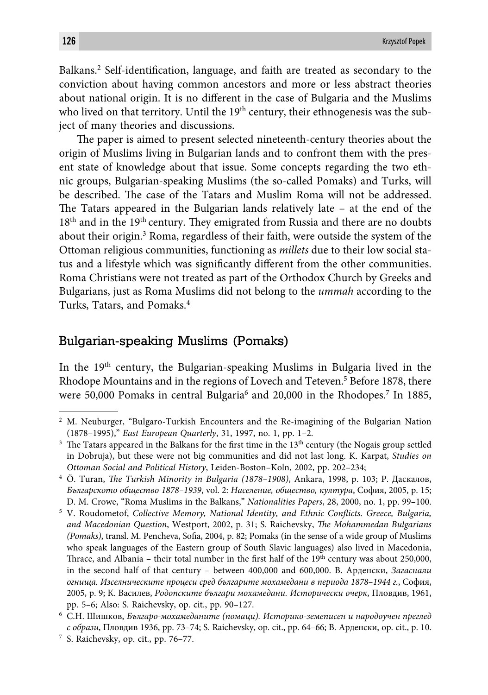Balkans.<sup>2</sup> Self-identification, language, and faith are treated as secondary to the conviction about having common ancestors and more or less abstract theories about national origin. It is no different in the case of Bulgaria and the Muslims who lived on that territory. Until the 19<sup>th</sup> century, their ethnogenesis was the subject of many theories and discussions.

The paper is aimed to present selected nineteenth-century theories about the origin of Muslims living in Bulgarian lands and to confront them with the present state of knowledge about that issue. Some concepts regarding the two ethnic groups, Bulgarian-speaking Muslims (the so-called Pomaks) and Turks, will be described. The case of the Tatars and Muslim Roma will not be addressed. The Tatars appeared in the Bulgarian lands relatively late  $-$  at the end of the  $18<sup>th</sup>$  and in the 19<sup>th</sup> century. They emigrated from Russia and there are no doubts about their origin.3 Roma, regardless of their faith, were outside the system of the Ottoman religious communities, functioning as *millets* due to their low social status and a lifestyle which was significantly different from the other communities. Roma Christians were not treated as part of the Orthodox Church by Greeks and Bulgarians, just as Roma Muslims did not belong to the *ummah* according to the Turks, Tatars, and Pomaks.4

#### Bulgarian-speaking Muslims (Pomaks)

In the  $19<sup>th</sup>$  century, the Bulgarian-speaking Muslims in Bulgaria lived in the Rhodope Mountains and in the regions of Lovech and Teteven.<sup>5</sup> Before 1878, there were 50,000 Pomaks in central Bulgaria<sup>6</sup> and 20,000 in the Rhodopes.<sup>7</sup> In 1885,

<sup>2</sup> M. Neuburger, "Bulgaro-Turkish Encounters and the Re-imagining of the Bulgarian Nation (1878–1995)," *East European Quarterly*, 31, 1997, no. 1, pp. 1–2.

 $3$  The Tatars appeared in the Balkans for the first time in the  $13<sup>th</sup>$  century (the Nogais group settled in Dobruja), but these were not big communities and did not last long. K. Karpat, *Studies on Ottoman Social and Political History*, Leiden-Boston–Koln, 2002, pp. 202–234;

<sup>&</sup>lt;sup>4</sup> Ö. Turan, *The Turkish Minority in Bulgaria (1878–1908)*, Ankara, 1998, p. 103; Р. Даскалов, *Българското общество 1878–1939*, vol. 2: *Население, общество, култура*, София, 2005, p. 15; D. M. Crowe, "Roma Muslims in the Balkans," *Nationalities Papers*, 28, 2000, no. 1, pp. 99–100.

<sup>&</sup>lt;sup>5</sup> V. Roudometof, *Collective Memory, National Identity, and Ethnic Conflicts. Greece, Bulgaria, and Macedonian Question*, Westport, 2002, p. 31; S. Raichevsky, *Th e Mohammedan Bulgarians (Pomaks)*, transl. M. Pencheva, Sofia, 2004, p. 82; Pomaks (in the sense of a wide group of Muslims who speak languages of the Eastern group of South Slavic languages) also lived in Macedonia, Thrace, and Albania – their total number in the first half of the  $19<sup>th</sup>$  century was about 250,000, in the second half of that century – between 400,000 and 600,000. В. Арденски, *Загаснали огнища. Изселническите процеси сред българите мохамедани в периода 1878–1944 г.*, София, 2005, p. 9; К. Василев, *Родопските българи мохамедани. Исторически очерк*, Пловдив, 1961, pp. 5–6; Also: S. Raichevsky, op. cit., pp. 90–127.

<sup>6</sup> С.Н. Шишков, *Българо-мохамеданите (помаци). Историко-земеписен и народоучен преглед с образи*, Пловдив 1936, pp. 73–74; S. Raichevsky, op. cit., pp. 64–66; В. Арденски, op. cit., p. 10.

<sup>7</sup> S. Raichevsky, op. cit., pp. 76–77.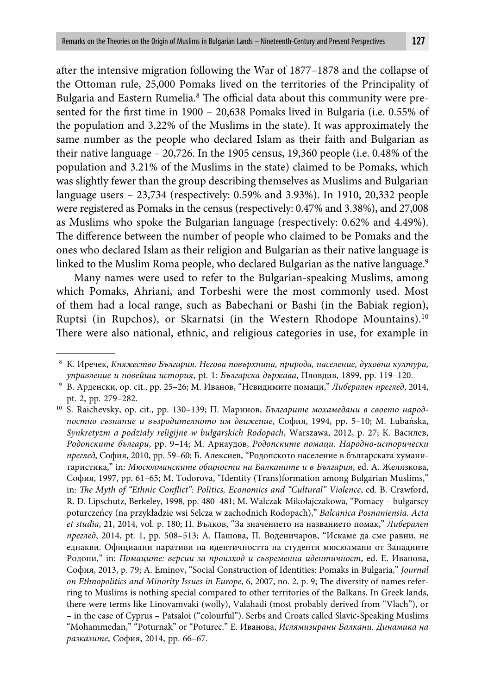after the intensive migration following the War of 1877–1878 and the collapse of the Ottoman rule, 25,000 Pomaks lived on the territories of the Principality of Bulgaria and Eastern Rumelia.<sup>8</sup> The official data about this community were presented for the first time in  $1900 - 20,638$  Pomaks lived in Bulgaria (i.e. 0.55% of the population and 3.22% of the Muslims in the state). It was approximately the same number as the people who declared Islam as their faith and Bulgarian as their native language – 20,726. In the 1905 census, 19,360 people (i.e. 0.48% of the population and 3.21% of the Muslims in the state) claimed to be Pomaks, which was slightly fewer than the group describing themselves as Muslims and Bulgarian language users – 23,734 (respectively: 0.59% and 3.93%). In 1910, 20,332 people were registered as Pomaks in the census (respectively: 0.47% and 3.38%), and 27,008 as Muslims who spoke the Bulgarian language (respectively: 0.62% and 4.49%). The difference between the number of people who claimed to be Pomaks and the ones who declared Islam as their religion and Bulgarian as their native language is linked to the Muslim Roma people, who declared Bulgarian as the native language.<sup>9</sup>

Many names were used to refer to the Bulgarian-speaking Muslims, among which Pomaks, Ahriani, and Torbeshi were the most commonly used. Most of them had a local range, such as Babechani or Bashi (in the Babiak region), Ruptsi (in Rupchos), or Skarnatsi (in the Western Rhodope Mountains).<sup>10</sup> There were also national, ethnic, and religious categories in use, for example in

<sup>8</sup> К. Иречек, *Княжество България. Негова повърхнина, природа, население, духовна култура, управление и новейша история*, pt. 1: *Българска държава*, Пловдив, 1899, pp. 119–120.

<sup>9</sup> В. Арденски, op. cit., pp. 25–26; М. Иванов, "Невидимите помаци," *Либерален преглед*, 2014, pt. 2, pp. 279–282.

<sup>10</sup> S. Raichevsky, op. cit., pp. 130–139; П. Маринов, *Българите мохамедани в своето народностно съзнание и възродителното им движение*, София, 1994, pp. 5–10; M. Lubańska, *Synkretyzm a podziały religijne w bułgarskich Rodopach*, Warszawa, 2012, p. 27; К. Василев, *Родопските българи*, pp. 9–14; М. Арнаудов, *Родопските помаци. Народно-исторически преглед*, София, 2010, pp. 59–60; Б. Алексиев, "Родопското население в българската хуманитаристика," in: *Мюсюлманските общности на Балканите и в България*, ed. A. Желязкова, София, 1997, pp. 61–65; M. Todorova, "Identity (Trans)formation among Bulgarian Muslims," in: *The Myth of "Ethnic Conflict": Politics, Economics and "Cultural" Violence*, ed. B. Crawford, R. D. Lipschutz, Berkeley, 1998, pp. 480–481; M. Walczak-Mikołajczakowa, "Pomacy – bułgarscy poturczeńcy (na przykładzie wsi Selcza w zachodnich Rodopach)," *Balcanica Posnaniensia. Acta et studia*, 21, 2014, vol. p. 180; П. Вълков, "За значението на названието помак," *Либерален преглед*, 2014, pt. 1, pp. 508–513; А. Пашова, П. Воденичаров, "Искаме да сме равни, не еднакви. Официални наративи на идентичността на студенти мюсюлмани от Западните Родопи," in: *Помаците: версии за произход и съвременна идентичност*, ed. Е. Иванова, София, 2013, p. 79; A. Eminov, "Social Construction of Identities: Pomaks in Bulgaria," *Journal on Ethnopolitics and Minority Issues in Europe*, 6, 2007, no. 2, p. 9; The diversity of names referring to Muslims is nothing special compared to other territories of the Balkans. In Greek lands, there were terms like Linovamvaki (wolly), Valahadi (most probably derived from "Vlach"), or – in the case of Cyprus – Patsaloi ("colourful"). Serbs and Croats called Slavic-Speaking Muslims "Mohammedan," "Poturnak" or "Poturec." Е. Иванова, *Ислямизирани Балкани. Динамика на разказите*, София, 2014, pp. 66–67.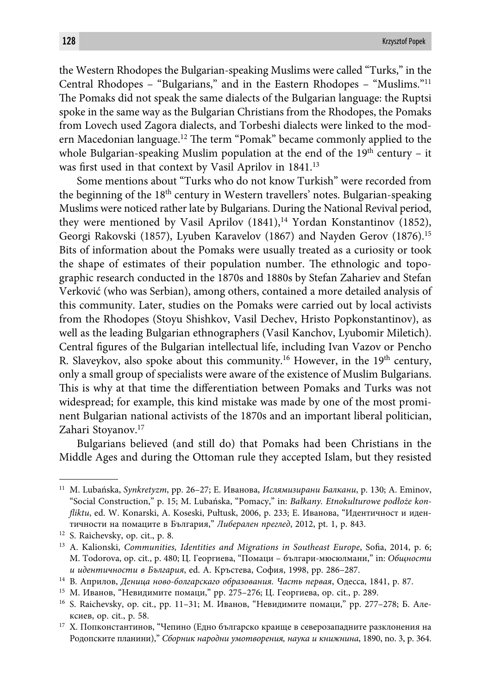the Western Rhodopes the Bulgarian-speaking Muslims were called "Turks," in the Central Rhodopes – "Bulgarians," and in the Eastern Rhodopes – "Muslims."11 The Pomaks did not speak the same dialects of the Bulgarian language: the Ruptsi spoke in the same way as the Bulgarian Christians from the Rhodopes, the Pomaks from Lovech used Zagora dialects, and Torbeshi dialects were linked to the modern Macedonian language.<sup>12</sup> The term "Pomak" became commonly applied to the whole Bulgarian-speaking Muslim population at the end of the  $19<sup>th</sup>$  century – it was first used in that context by Vasil Aprilov in 1841.<sup>13</sup>

Some mentions about "Turks who do not know Turkish" were recorded from the beginning of the 18<sup>th</sup> century in Western travellers' notes. Bulgarian-speaking Muslims were noticed rather late by Bulgarians. During the National Revival period, they were mentioned by Vasil Aprilov  $(1841),<sup>14</sup>$  Yordan Konstantinov (1852), Georgi Rakovski (1857), Lyuben Karavelov (1867) and Nayden Gerov (1876).15 Bits of information about the Pomaks were usually treated as a curiosity or took the shape of estimates of their population number. The ethnologic and topographic research conducted in the 1870s and 1880s by Stefan Zahariev and Stefan Verković (who was Serbian), among others, contained a more detailed analysis of this community. Later, studies on the Pomaks were carried out by local activists from the Rhodopes (Stoyu Shishkov, Vasil Dechev, Hristo Popkonstantinov), as well as the leading Bulgarian ethnographers (Vasil Kanchov, Lyubomir Miletich). Central figures of the Bulgarian intellectual life, including Ivan Vazov or Pencho R. Slaveykov, also spoke about this community.<sup>16</sup> However, in the 19<sup>th</sup> century, only a small group of specialists were aware of the existence of Muslim Bulgarians. This is why at that time the differentiation between Pomaks and Turks was not widespread; for example, this kind mistake was made by one of the most prominent Bulgarian national activists of the 1870s and an important liberal politician, Zahari Stoyanov.<sup>17</sup>

Bulgarians believed (and still do) that Pomaks had been Christians in the Middle Ages and during the Ottoman rule they accepted Islam, but they resisted

<sup>11</sup> M. Lubańska, *Synkretyzm*, pp. 26–27; Е. Иванова, *Ислямизирани Балкани*, p. 130; A. Eminov, "Social Construction," p. 15; M. Lubańska, "Pomacy," in: *Bałkany. Etnokulturowe podłoże konfl iktu*, ed. W. Konarski, A. Koseski, Pułtusk, 2006, p. 233; Е. Иванова, "Идентичност и идентичности на помаците в България," *Либерален преглед*, 2012, pt. 1, p. 843.

<sup>12</sup> S. Raichevsky, op. cit., p. 8.

<sup>&</sup>lt;sup>13</sup> A. Kalionski, *Communities, Identities and Migrations in Southeast Europe*, Sofia, 2014, p. 6; M. Todorova, op. cit., p. 480; Ц. Георгиева, "Помаци – българи-мюсюлмани," in: *Общности и идентичности в България*, ed. А. Кръстева, София, 1998, pp. 286–287.

<sup>14</sup> В. Априлов, *Деница ново-болгарскаго образования. Часть первая*, Одесса, 1841, p. 87.

<sup>15</sup> М. Иванов, "Невидимите помаци," pp. 275–276; Ц. Георгиева, op. cit., p. 289.

<sup>16</sup> S. Raichevsky, op. cit., pp. 11–31; М. Иванов, "Невидимите помаци," pp. 277–278; Б. Алексиев, op. cit., p. 58.

<sup>17</sup> Х. Попконстантинов, "Чепино (Едно българско краище в северозападните разклонения на Родопските планини)," *Сборник народни умотворения, наука и книжнина*, 1890, no. 3, p. 364.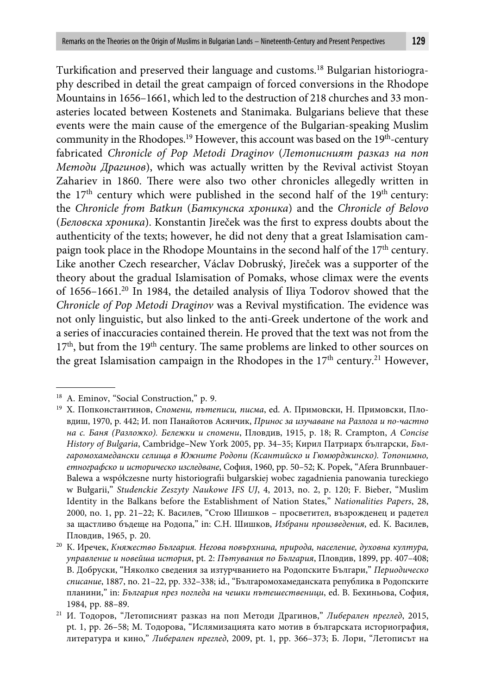Turkification and preserved their language and customs.<sup>18</sup> Bulgarian historiography described in detail the great campaign of forced conversions in the Rhodope Mountains in 1656–1661, which led to the destruction of 218 churches and 33 monasteries located between Kostenets and Stanimaka. Bulgarians believe that these events were the main cause of the emergence of the Bulgarian-speaking Muslim community in the Rhodopes.<sup>19</sup> However, this account was based on the  $19<sup>th</sup>$ -century fabricated *Chronicle of Pop Metodi Draginov* (*Летописният разказ на поп Методи Драгинов*), which was actually written by the Revival activist Stoyan Zahariev in 1860. There were also two other chronicles allegedly written in the  $17<sup>th</sup>$  century which were published in the second half of the  $19<sup>th</sup>$  century: the *Chronicle from Batkun* (*Баткунска хроника*) and the *Chronicle of Belovo* (*Беловска хроника*). Konstantin Jireček was the first to express doubts about the authenticity of the texts; however, he did not deny that a great Islamisation campaign took place in the Rhodope Mountains in the second half of the  $17<sup>th</sup>$  century. Like another Czech researcher, Václav Dobruský, Jireček was a supporter of the theory about the gradual Islamisation of Pomaks, whose climax were the events of 1656–1661.20 In 1984, the detailed analysis of Iliya Todorov showed that the *Chronicle of Pop Metodi Draginov* was a Revival mystification. The evidence was not only linguistic, but also linked to the anti-Greek undertone of the work and a series of inaccuracies contained therein. He proved that the text was not from the 17<sup>th</sup>, but from the 19<sup>th</sup> century. The same problems are linked to other sources on the great Islamisation campaign in the Rhodopes in the 17<sup>th</sup> century.<sup>21</sup> However,

<sup>&</sup>lt;sup>18</sup> A. Eminov, "Social Construction," p. 9.

<sup>19</sup> Х. Попконстантинов, *Спомени, пътеписи, писма*, ed. А. Примовски, Н. Примовски, Пловдиш, 1970, p. 442; И. поп Панайотов Асянчик, *Принос за изучаване на Разлога и по-частно на с. Баня (Разложко). Бележки и спомени*, Пловдив, 1915, p. 18; R. Crampton, *A Concise History of Bulgaria*, Cambridge–New York 2005, pp. 34–35; Кирил Патриарх български, *Българомохамедански селища в Южните Родопи (Ксантийско и Гюмюрджинско). Топонимно, етнографско и историческо изследване*, София, 1960, pp. 50–52; K. Popek, "Afera Brunnbauer-Balewa a współczesne nurty historiografi i bułgarskiej wobec zagadnienia panowania tureckiego w Bułgarii," *Studenckie Zeszyty Naukowe IFS UJ*, 4, 2013, no. 2, p. 120; F. Bieber, "Muslim Identity in the Balkans before the Establishment of Nation States," *Nationalities Papers*, 28, 2000, no. 1, pp. 21–22; К. Василев, "Стою Шишков – просветител, възрожденец и радетел за щастливо бъдеще на Родопа," in: С.Н. Шишков, *Избрани произведения*, ed. К. Василев, Пловдив, 1965, p. 20.

<sup>20</sup> К. Иречек, *Княжество България. Негова повърхнина, природа, население, духовна култура, управление и новейша история*, pt. 2: *Пътувания по България*, Пловдив, 1899, pp. 407–408; В. Добруски, "Няколко сведения за изтурчванието на Родопските Българи," *Периодическо списание*, 1887, no. 21–22, pp. 332–338; id., "Българомохамеданската република в Родопските планини," in: *България през погледа на чешки пътешественици*, ed. В. Бехиньова, София, 1984, pp. 88–89.

<sup>21</sup> И. Тодоров, "Летописният разказ на поп Методи Драгинов," *Либерален преглед*, 2015, pt. 1, pp. 26–58; М. Тодорова, "Ислямизацията като мотив в българската историография, литература и кино," *Либерален преглед*, 2009, pt. 1, pp. 366–373; Б. Лори, "Летописът на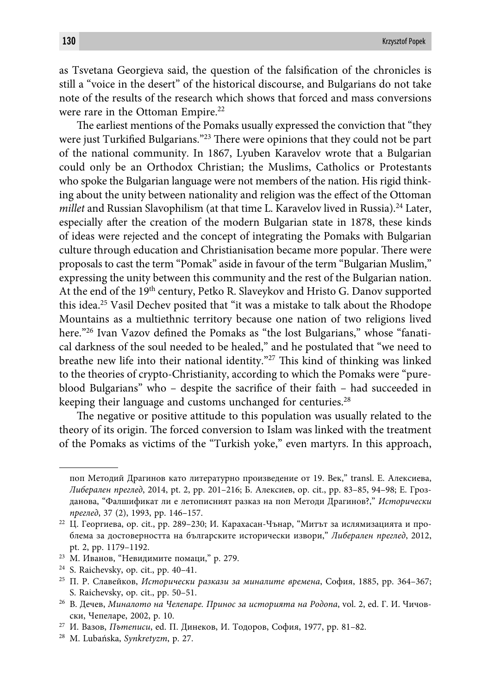as Tsvetana Georgieva said, the question of the falsification of the chronicles is still a "voice in the desert" of the historical discourse, and Bulgarians do not take note of the results of the research which shows that forced and mass conversions were rare in the Ottoman Empire.<sup>22</sup>

The earliest mentions of the Pomaks usually expressed the conviction that "they were just Turkified Bulgarians."<sup>23</sup> There were opinions that they could not be part of the national community. In 1867, Lyuben Karavelov wrote that a Bulgarian could only be an Orthodox Christian; the Muslims, Catholics or Protestants who spoke the Bulgarian language were not members of the nation. His rigid thinking about the unity between nationality and religion was the effect of the Ottoman *millet* and Russian Slavophilism (at that time L. Karavelov lived in Russia).<sup>24</sup> Later, especially after the creation of the modern Bulgarian state in 1878, these kinds of ideas were rejected and the concept of integrating the Pomaks with Bulgarian culture through education and Christianisation became more popular. There were proposals to cast the term "Pomak" aside in favour of the term "Bulgarian Muslim," expressing the unity between this community and the rest of the Bulgarian nation. At the end of the 19<sup>th</sup> century, Petko R. Slaveykov and Hristo G. Danov supported this idea.25 Vasil Dechev posited that "it was a mistake to talk about the Rhodope Mountains as a multiethnic territory because one nation of two religions lived here."<sup>26</sup> Ivan Vazov defined the Pomaks as "the lost Bulgarians," whose "fanatical darkness of the soul needed to be healed," and he postulated that "we need to breathe new life into their national identity."<sup>27</sup> This kind of thinking was linked to the theories of crypto-Christianity, according to which the Pomaks were "pureblood Bulgarians" who – despite the sacrifice of their faith – had succeeded in keeping their language and customs unchanged for centuries.<sup>28</sup>

The negative or positive attitude to this population was usually related to the theory of its origin. The forced conversion to Islam was linked with the treatment of the Pomaks as victims of the "Turkish yoke," even martyrs. In this approach,

поп Методий Драгинов като литературно произведение от 19. Век," transl. Е. Алексиева, *Либерален преглед*, 2014, pt. 2, pp. 201–216; Б. Алексиев, op. cit., pp. 83–85, 94–98; Е. Грозданова, "Фалшификат ли е летописният разказ на поп Методи Драгинов?," *Исторически преглед*, 37 (2), 1993, pp. 146–157.

 $22$  Ц. Георгиева, ор. cit., pp. 289-230; И. Карахасан-Чънар, "Митът за ислямизацията и проблема за достоверността на българските исторически извори," *Либерален преглед*, 2012, pt. 2, pp. 1179–1192.

<sup>23</sup> М. Иванов, "Невидимите помаци," p. 279.

<sup>24</sup> S. Raichevsky, op. cit., pp. 40–41.

<sup>25</sup> П. Р. Славейков, *Исторически разкази за миналите времена*, София, 1885, pp. 364–367; S. Raichevsky, op. cit., pp. 50–51.

<sup>26</sup> В. Дечев, *Миналото на Челепаре. Принос за историята на Родопа*, vol. 2, ed. Г. И. Чичовски, Чепеларе, 2002, p. 10.

<sup>27</sup> И. Вазов, *Пътеписи*, ed. П. Динеков, И. Тодоров, София, 1977, pp. 81–82.

<sup>28</sup> M. Lubańska, *Synkretyzm*, p. 27.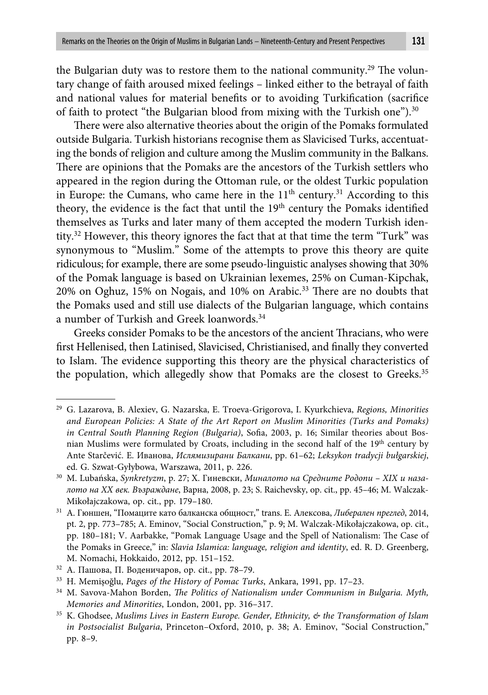the Bulgarian duty was to restore them to the national community.<sup>29</sup> The voluntary change of faith aroused mixed feelings – linked either to the betrayal of faith and national values for material benefits or to avoiding Turkification (sacrifice of faith to protect "the Bulgarian blood from mixing with the Turkish one").<sup>30</sup>

There were also alternative theories about the origin of the Pomaks formulated outside Bulgaria. Turkish historians recognise them as Slavicised Turks, accentuating the bonds of religion and culture among the Muslim community in the Balkans. There are opinions that the Pomaks are the ancestors of the Turkish settlers who appeared in the region during the Ottoman rule, or the oldest Turkic population in Europe: the Cumans, who came here in the  $11<sup>th</sup>$  century.<sup>31</sup> According to this theory, the evidence is the fact that until the 19<sup>th</sup> century the Pomaks identified themselves as Turks and later many of them accepted the modern Turkish identity.<sup>32</sup> However, this theory ignores the fact that at that time the term "Turk" was synonymous to "Muslim." Some of the attempts to prove this theory are quite ridiculous; for example, there are some pseudo-linguistic analyses showing that 30% of the Pomak language is based on Ukrainian lexemes, 25% on Cuman-Kipchak, 20% on Oghuz, 15% on Nogais, and 10% on Arabic.<sup>33</sup> There are no doubts that the Pomaks used and still use dialects of the Bulgarian language, which contains a number of Turkish and Greek loanwords.<sup>34</sup>

Greeks consider Pomaks to be the ancestors of the ancient Thracians, who were first Hellenised, then Latinised, Slavicised, Christianised, and finally they converted to Islam. The evidence supporting this theory are the physical characteristics of the population, which allegedly show that Pomaks are the closest to Greeks.<sup>35</sup>

<sup>29</sup> G. Lazarova, B. Alexiev, G. Nazarska, E. Troeva-Grigorova, I. Kyurkchieva, *Regions, Minorities and European Policies: A State of the Art Report on Muslim Minorities (Turks and Pomaks) in Central South Planning Region (Bulgaria)*, Sofia, 2003, p. 16; Similar theories about Bosnian Muslims were formulated by Croats, including in the second half of the 19th century by Ante Starčević. Е. Иванова, *Ислямизирани Балкани*, pp. 61–62; *Leksykon tradycji bułgarskiej*, ed. G. Szwat-Gyłybowa, Warszawa, 2011, p. 226.

<sup>30</sup> M. Lubańska, *Synkretyzm*, p. 27; Х. Гиневски, *Миналото на Средните Родопи – XIX и назалото на XX век. Възраждане*, Варна, 2008, p. 23; S. Raichevsky, op. cit., pp. 45–46; M. Walczak-Mikołajczakowa, op. cit., pp. 179–180.

<sup>31</sup> А. Гюншен, "Помаците като балканска общност," trans. Е. Алексова, *Либерален преглед*, 2014, pt. 2, pp. 773–785; A. Eminov, "Social Construction," p. 9; M. Walczak-Mikołajczakowa, op. cit., pp. 180-181; V. Aarbakke, "Pomak Language Usage and the Spell of Nationalism: The Case of the Pomaks in Greece," in: *Slavia Islamica: language, religion and identity*, ed. R. D. Greenberg, M. Nomachi, Hokkaido, 2012, pp. 151–152.

 $32$  А. Пашова, П. Воденичаров, ор. cit., pp. 78-79.

<sup>33</sup> H. Memişoğlu, *Pages of the History of Pomac Turks*, Ankara, 1991, pp. 17–23.

<sup>&</sup>lt;sup>34</sup> M. Savova-Mahon Borden, *The Politics of Nationalism under Communism in Bulgaria. Myth, Memories and Minorities*, London, 2001, pp. 316–317.

<sup>35</sup> K. Ghodsee, *Muslims Lives in Eastern Europe. Gender, Ethnicity, & the Transformation of Islam in Postsocialist Bulgaria*, Princeton–Oxford, 2010, p. 38; A. Eminov, "Social Construction," pp. 8–9.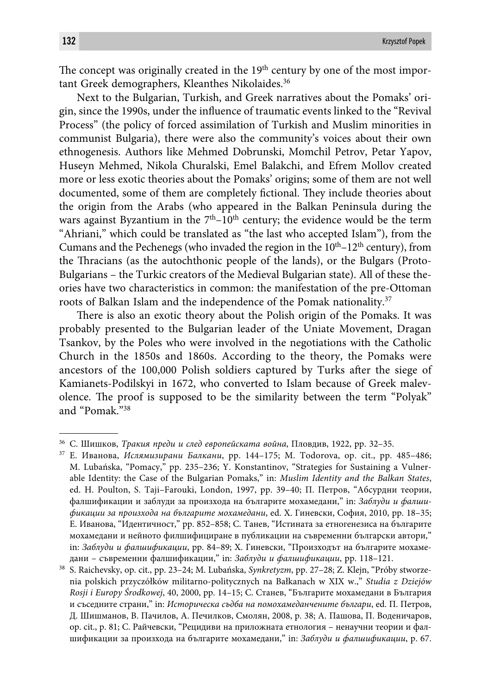The concept was originally created in the  $19<sup>th</sup>$  century by one of the most important Greek demographers, Kleanthes Nikolaides.<sup>36</sup>

Next to the Bulgarian, Turkish, and Greek narratives about the Pomaks' origin, since the 1990s, under the influence of traumatic events linked to the "Revival" Process" (the policy of forced assimilation of Turkish and Muslim minorities in communist Bulgaria), there were also the community's voices about their own ethnogenesis. Authors like Mehmed Dobrunski, Momchil Petrov, Petar Yapov, Huseyn Mehmed, Nikola Churalski, Emel Balakchi, and Efrem Mollov created more or less exotic theories about the Pomaks' origins; some of them are not well documented, some of them are completely fictional. They include theories about the origin from the Arabs (who appeared in the Balkan Peninsula during the wars against Byzantium in the  $7<sup>th</sup>$ -10<sup>th</sup> century; the evidence would be the term "Ahriani," which could be translated as "the last who accepted Islam"), from the Cumans and the Pechenegs (who invaded the region in the  $10<sup>th</sup>$ – $12<sup>th</sup>$  century), from the Thracians (as the autochthonic people of the lands), or the Bulgars (Proto-Bulgarians – the Turkic creators of the Medieval Bulgarian state). All of these theories have two characteristics in common: the manifestation of the pre-Ottoman roots of Balkan Islam and the independence of the Pomak nationality.<sup>37</sup>

There is also an exotic theory about the Polish origin of the Pomaks. It was probably presented to the Bulgarian leader of the Uniate Movement, Dragan Tsankov, by the Poles who were involved in the negotiations with the Catholic Church in the 1850s and 1860s. According to the theory, the Pomaks were ancestors of the 100,000 Polish soldiers captured by Turks after the siege of Kamianets-Podilskyi in 1672, who converted to Islam because of Greek malevolence. The proof is supposed to be the similarity between the term "Polyak" and "Pomak."38

<sup>36</sup> С. Шишков, *Тракия преди и след европейската война*, Пловдив, 1922, pp. 32–35.

<sup>37</sup> Е. Иванова, *Ислямизирани Балкани*, pp. 144–175; M. Todorova, op. cit., pp. 485–486; M. Lubańska, "Pomacy," pp. 235–236; Y. Konstantinov, "Strategies for Sustaining a Vulnerable Identity: the Case of the Bulgarian Pomaks," in: *Muslim Identity and the Balkan States*, ed. H. Poulton, S. Taji–Farouki, London, 1997, pp. 39–40; П. Петров, "Абсурдни теории, фалшификации и заблуди за произхода на българите мохамедани," in: *Заблуди и фалшификации за произхода на българите мохамедани*, ed. Х. Гиневски, София, 2010, pp. 18–35; Е. Иванова, "Идентичност," pp. 852–858; С. Танев, "Истината за етногенезиса на българите мохамедани и нейното филшифициране в публикации на съвременни български автори," in: *Заблуди и фалшификации*, pp. 84–89; Х. Гиневски, "Произходът на българите мохамедани – съвременни фалшификации," in: *Заблуди и фалшификации*, pp. 118–121.

<sup>38</sup> S. Raichevsky, op. cit., pp. 23–24; M. Lubańska, *Synkretyzm*, pp. 27–28; Z. Klejn, "Próby stworzenia polskich przyczółków militarno-politycznych na Bałkanach w XIX w.," *Studia z Dziejów Rosji i Europy Środkowej*, 40, 2000, pp. 14–15; С. Станев, "Българите мохамедани в България и съседните страни," in: *Историческа съдба на помохамеданчените българи*, ed. П. Петров, Д. Шишманов, В. Пачилов, А. Печилков, Смолян, 2008, p. 38; А. Пашова, П. Воденичаров, op. cit., p. 81; С. Райчевски, "Рецидиви на приложната етнология – ненаучни теории и фалшификации за произхода на българите мохамедани," in: *Заблуди и фалшификации*, p. 67.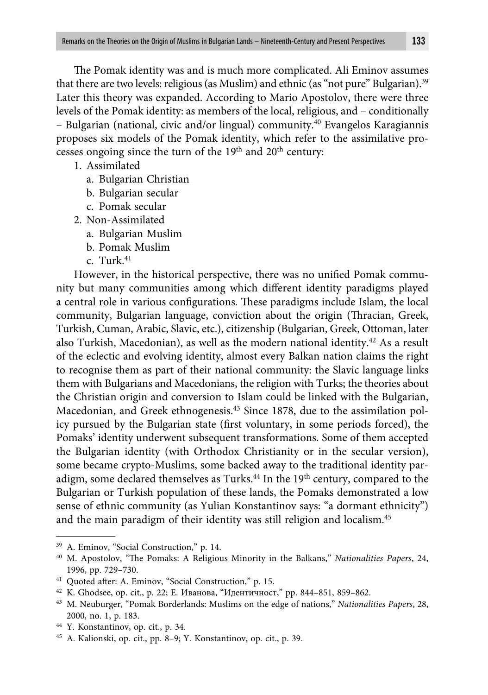The Pomak identity was and is much more complicated. Ali Eminov assumes that there are two levels: religious (as Muslim) and ethnic (as "not pure" Bulgarian).39 Later this theory was expanded. According to Mario Apostolov, there were three levels of the Pomak identity: as members of the local, religious, and – conditionally – Bulgarian (national, civic and/or lingual) community.40 Evangelos Karagiannis proposes six models of the Pomak identity, which refer to the assimilative processes ongoing since the turn of the  $19<sup>th</sup>$  and  $20<sup>th</sup>$  century:

- 1. Assimilated
	- a. Bulgarian Christian
	- b. Bulgarian secular
	- c. Pomak secular
- 2. Non-Assimilated
	- a. Bulgarian Muslim
	- b. Pomak Muslim
	- c. Turk. $41$

However, in the historical perspective, there was no unified Pomak community but many communities among which different identity paradigms played a central role in various configurations. These paradigms include Islam, the local community, Bulgarian language, conviction about the origin (Thracian, Greek, Turkish, Cuman, Arabic, Slavic, etc.), citizenship (Bulgarian, Greek, Ottoman, later also Turkish, Macedonian), as well as the modern national identity.42 As a result of the eclectic and evolving identity, almost every Balkan nation claims the right to recognise them as part of their national community: the Slavic language links them with Bulgarians and Macedonians, the religion with Turks; the theories about the Christian origin and conversion to Islam could be linked with the Bulgarian, Macedonian, and Greek ethnogenesis.43 Since 1878, due to the assimilation policy pursued by the Bulgarian state (first voluntary, in some periods forced), the Pomaks' identity underwent subsequent transformations. Some of them accepted the Bulgarian identity (with Orthodox Christianity or in the secular version), some became crypto-Muslims, some backed away to the traditional identity paradigm, some declared themselves as Turks.<sup>44</sup> In the 19<sup>th</sup> century, compared to the Bulgarian or Turkish population of these lands, the Pomaks demonstrated a low sense of ethnic community (as Yulian Konstantinov says: "a dormant ethnicity") and the main paradigm of their identity was still religion and localism.<sup>45</sup>

44 Y. Konstantinov, op. cit., p. 34.

<sup>39</sup> A. Eminov, "Social Construction," p. 14.

<sup>&</sup>lt;sup>40</sup> M. Apostolov, "The Pomaks: A Religious Minority in the Balkans," *Nationalities Papers*, 24, 1996, pp. 729–730.

<sup>&</sup>lt;sup>41</sup> Quoted after: A. Eminov, "Social Construction," p. 15.

<sup>42</sup> K. Ghodsee, op. cit., p. 22; Е. Иванова, "Идентичност," pp. 844–851, 859–862.

<sup>43</sup> M. Neuburger, "Pomak Borderlands: Muslims on the edge of nations," *Nationalities Papers*, 28, 2000, no. 1, p. 183.

<sup>45</sup> A. Kalionski, op. cit., pp. 8–9; Y. Konstantinov, op. cit., p. 39.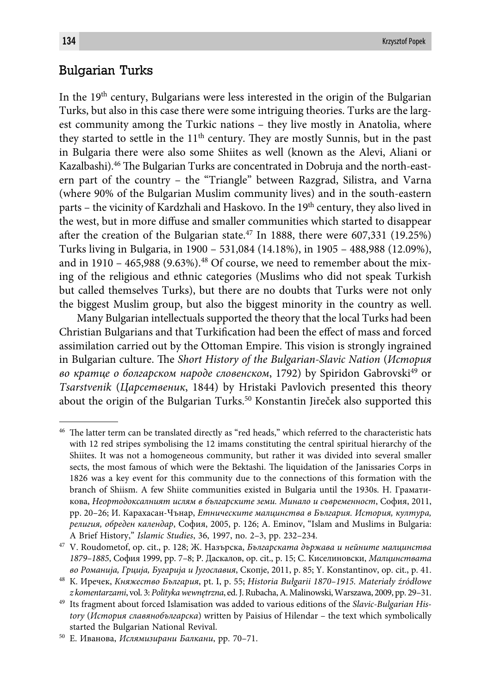# Bulgarian Turks

In the  $19<sup>th</sup>$  century, Bulgarians were less interested in the origin of the Bulgarian Turks, but also in this case there were some intriguing theories. Turks are the largest community among the Turkic nations – they live mostly in Anatolia, where they started to settle in the  $11<sup>th</sup>$  century. They are mostly Sunnis, but in the past in Bulgaria there were also some Shiites as well (known as the Alevi, Aliani or Kazalbashi).<sup>46</sup> The Bulgarian Turks are concentrated in Dobruja and the north-eastern part of the country – the "Triangle" between Razgrad, Silistra, and Varna (where 90% of the Bulgarian Muslim community lives) and in the south-eastern parts – the vicinity of Kardzhali and Haskovo. In the 19th century, they also lived in the west, but in more diffuse and smaller communities which started to disappear after the creation of the Bulgarian state.<sup>47</sup> In 1888, there were 607,331 (19.25%) Turks living in Bulgaria, in 1900 – 531,084 (14.18%), in 1905 – 488,988 (12.09%), and in  $1910 - 465,988 (9.63\%)$ .<sup>48</sup> Of course, we need to remember about the mixing of the religious and ethnic categories (Muslims who did not speak Turkish but called themselves Turks), but there are no doubts that Turks were not only the biggest Muslim group, but also the biggest minority in the country as well.

Many Bulgarian intellectuals supported the theory that the local Turks had been Christian Bulgarians and that Turkification had been the effect of mass and forced assimilation carried out by the Ottoman Empire. This vision is strongly ingrained in Bulgarian culture. The *Short History of the Bulgarian-Slavic Nation (История во кратце о болгарском народе словенском*, 1792) by Spiridon Gabrovski49 or *Tsarstvenik* (*Царсетвеник*, 1844) by Hristaki Pavlovich presented this theory about the origin of the Bulgarian Turks.<sup>50</sup> Konstantin Jireček also supported this

<sup>&</sup>lt;sup>46</sup> The latter term can be translated directly as "red heads," which referred to the characteristic hats with 12 red stripes symbolising the 12 imams constituting the central spiritual hierarchy of the Shiites. It was not a homogeneous community, but rather it was divided into several smaller sects, the most famous of which were the Bektashi. The liquidation of the Janissaries Corps in 1826 was a key event for this community due to the connections of this formation with the branch of Shiism. A few Shiite communities existed in Bulgaria until the 1930s. Н. Граматикова, *Неортодоксалният ислям в българските земи. Минало и съвременност*, София, 2011, pp. 20–26; И. Карахасан-Чънар, *Етническите малцинства в България. История, култура, религия, обреден календар*, София, 2005, p. 126; A. Eminov, "Islam and Muslims in Bulgaria: A Brief History," *Islamic Studies*, 36, 1997, no. 2–3, pp. 232–234.

<sup>47</sup> V. Roudometof, op. cit., p. 128; Ж. Назърска, *Българската държава и нейните малцинства 1879–1885*, София 1999, pp. 7–8; Р. Даскалов, op. cit., p. 15; С. Киселиновски, *Малцинствата во Романиja, Грциja, Бугариja и Jугославия*, Скопjе, 2011, p. 85; Y. Konstantinov, op. cit., p. 41.

<sup>48</sup> К. Иречек, *Княжество България*, pt. I, p. 55; *Historia Bułgarii 1870–1915. Materiały źródłowe z komentarzami*, vol. 3: *Polityka wewnętrzna*, ed. J. Rubacha, A. Malinowski, Warszawa, 2009, pp. 29–31.

<sup>49</sup> Its fragment about forced Islamisation was added to various editions of the *Slavic-Bulgarian History* (*История славянобългарска*) written by Paisius of Hilendar – the text which symbolically started the Bulgarian National Revival.

<sup>50</sup> Е. Иванова, *Ислямизирани Балкани*, pp. 70–71.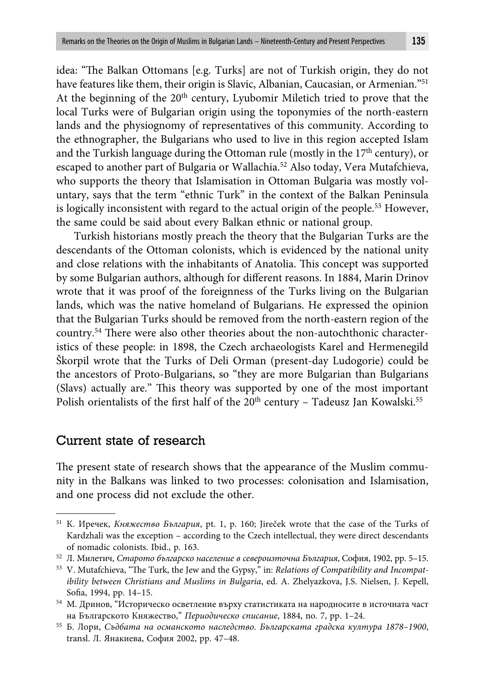idea: "The Balkan Ottomans [e.g. Turks] are not of Turkish origin, they do not have features like them, their origin is Slavic, Albanian, Caucasian, or Armenian."51 At the beginning of the  $20<sup>th</sup>$  century, Lyubomir Miletich tried to prove that the local Turks were of Bulgarian origin using the toponymies of the north-eastern lands and the physiognomy of representatives of this community. According to the ethnographer, the Bulgarians who used to live in this region accepted Islam and the Turkish language during the Ottoman rule (mostly in the  $17<sup>th</sup>$  century), or escaped to another part of Bulgaria or Wallachia.52 Also today, Vera Mutafchieva, who supports the theory that Islamisation in Ottoman Bulgaria was mostly voluntary, says that the term "ethnic Turk" in the context of the Balkan Peninsula is logically inconsistent with regard to the actual origin of the people.53 However, the same could be said about every Balkan ethnic or national group.

Turkish historians mostly preach the theory that the Bulgarian Turks are the descendants of the Ottoman colonists, which is evidenced by the national unity and close relations with the inhabitants of Anatolia. This concept was supported by some Bulgarian authors, although for different reasons. In 1884, Marin Drinov wrote that it was proof of the foreignness of the Turks living on the Bulgarian lands, which was the native homeland of Bulgarians. He expressed the opinion that the Bulgarian Turks should be removed from the north-eastern region of the country.<sup>54</sup> There were also other theories about the non-autochthonic characteristics of these people: in 1898, the Czech archaeologists Karel and Hermenegild Škorpil wrote that the Turks of Deli Orman (present-day Ludogorie) could be the ancestors of Proto-Bulgarians, so "they are more Bulgarian than Bulgarians (Slavs) actually are." This theory was supported by one of the most important Polish orientalists of the first half of the  $20<sup>th</sup>$  century – Tadeusz Jan Kowalski.<sup>55</sup>

## Current state of research

The present state of research shows that the appearance of the Muslim community in the Balkans was linked to two processes: colonisation and Islamisation, and one process did not exclude the other.

<sup>51</sup> К. Иречек, *Княжество България*, pt. 1, p. 160; Jireček wrote that the case of the Turks of Kardzhali was the exception – according to the Czech intellectual, they were direct descendants of nomadic colonists. Ibid., p. 163.

<sup>52</sup> Л. Милетич, *Старото българско население в североизточна България*, София, 1902, pp. 5–15.

<sup>&</sup>lt;sup>53</sup> V. Mutafchieva, "The Turk, the Jew and the Gypsy," in: *Relations of Compatibility and Incompatibility between Christians and Muslims in Bulgaria*, ed. A. Zhelyazkova, J.S. Nielsen, J. Kepell, Sofia, 1994, pp. 14-15.

<sup>54</sup> М. Дринов, "Историческо осветление върху статистиката на народносите в источната част на Българското Княжество," *Периодическо списание*, 1884, no. 7, pp. 1–24.

<sup>55</sup> Б. Лори, *Съдбата на османското наследство. Българската градска култура 1878–1900*, transl. Л. Янакиева, София 2002, pp. 47–48.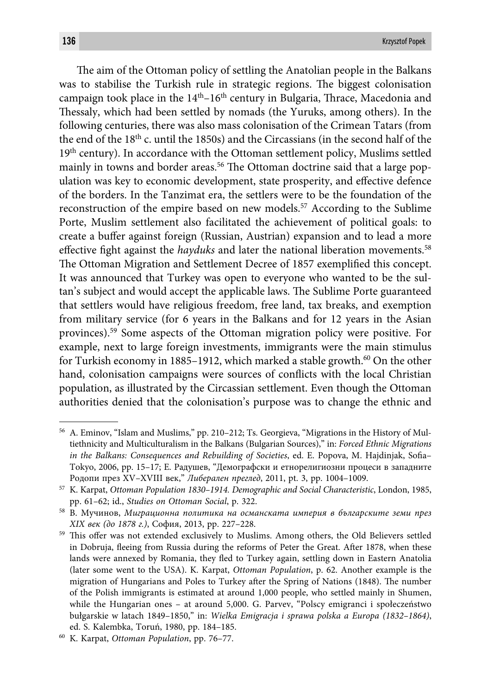The aim of the Ottoman policy of settling the Anatolian people in the Balkans was to stabilise the Turkish rule in strategic regions. The biggest colonisation campaign took place in the  $14<sup>th</sup> - 16<sup>th</sup>$  century in Bulgaria, Thrace, Macedonia and Thessaly, which had been settled by nomads (the Yuruks, among others). In the following centuries, there was also mass colonisation of the Crimean Tatars (from the end of the 18th c. until the 1850s) and the Circassians (in the second half of the 19th century). In accordance with the Ottoman settlement policy, Muslims settled mainly in towns and border areas.<sup>56</sup> The Ottoman doctrine said that a large population was key to economic development, state prosperity, and effective defence of the borders. In the Tanzimat era, the settlers were to be the foundation of the reconstruction of the empire based on new models.57 According to the Sublime Porte, Muslim settlement also facilitated the achievement of political goals: to create a buffer against foreign (Russian, Austrian) expansion and to lead a more effective fight against the *hayduks* and later the national liberation movements.<sup>58</sup> The Ottoman Migration and Settlement Decree of 1857 exemplified this concept. It was announced that Turkey was open to everyone who wanted to be the sultan's subject and would accept the applicable laws. The Sublime Porte guaranteed that settlers would have religious freedom, free land, tax breaks, and exemption from military service (for 6 years in the Balkans and for 12 years in the Asian provinces).59 Some aspects of the Ottoman migration policy were positive. For example, next to large foreign investments, immigrants were the main stimulus for Turkish economy in 1885–1912, which marked a stable growth.<sup>60</sup> On the other hand, colonisation campaigns were sources of conflicts with the local Christian population, as illustrated by the Circassian settlement. Even though the Ottoman authorities denied that the colonisation's purpose was to change the ethnic and

<sup>56</sup> A. Eminov, "Islam and Muslims," pp. 210–212; Ts. Georgieva, "Migrations in the History of Multiethnicity and Multiculturalism in the Balkans (Bulgarian Sources)," in: *Forced Ethnic Migrations in the Balkans: Consequences and Rebuilding of Societies*, ed. E. Popova, M. Hajdinjak, Sofia-Tokyo, 2006, pp. 15–17; Е. Радушев, "Демографски и етнорелигиозни процеси в западните Родопи през XV–XVIII век," *Либерален преглед*, 2011, pt. 3, pp. 1004–1009.

<sup>57</sup> K. Karpat, *Ottoman Population 1830–1914. Demographic and Social Characteristic*, London, 1985, pp. 61–62; id., *Studies on Ottoman Social*, p. 322.

<sup>58</sup> В. Мучинов, *Миграционна политика на османската империя в българските земи през XIX век (до 1878 г.)*, София, 2013, pp. 227–228.

<sup>&</sup>lt;sup>59</sup> This offer was not extended exclusively to Muslims. Among others, the Old Believers settled in Dobruja, fleeing from Russia during the reforms of Peter the Great. After 1878, when these lands were annexed by Romania, they fled to Turkey again, settling down in Eastern Anatolia (later some went to the USA). K. Karpat, *Ottoman Population*, p. 62. Another example is the migration of Hungarians and Poles to Turkey after the Spring of Nations (1848). The number of the Polish immigrants is estimated at around 1,000 people, who settled mainly in Shumen, while the Hungarian ones – at around 5,000. G. Parvev, "Polscy emigranci i społeczeństwo bułgarskie w latach 1849–1850," in: *Wielka Emigracja i sprawa polska a Europa (1832–1864)*, ed. S. Kalembka, Toruń, 1980, pp. 184–185.

<sup>60</sup> K. Karpat, *Ottoman Population*, pp. 76–77.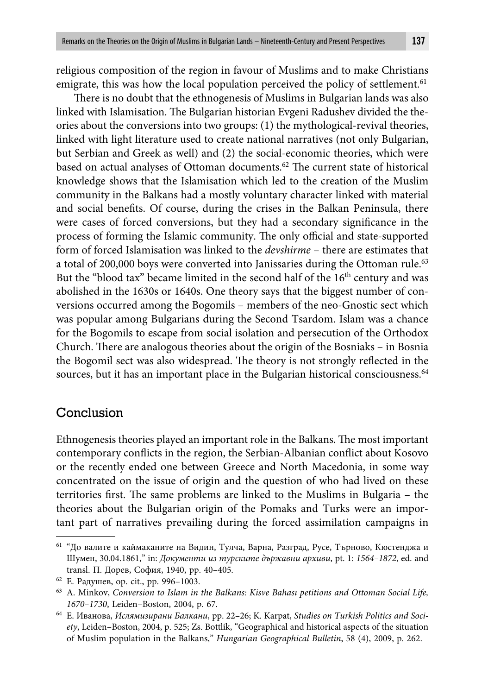religious composition of the region in favour of Muslims and to make Christians emigrate, this was how the local population perceived the policy of settlement.<sup>61</sup>

There is no doubt that the ethnogenesis of Muslims in Bulgarian lands was also linked with Islamisation. The Bulgarian historian Evgeni Radushev divided the theories about the conversions into two groups: (1) the mythological-revival theories, linked with light literature used to create national narratives (not only Bulgarian, but Serbian and Greek as well) and (2) the social-economic theories, which were based on actual analyses of Ottoman documents.<sup>62</sup> The current state of historical knowledge shows that the Islamisation which led to the creation of the Muslim community in the Balkans had a mostly voluntary character linked with material and social benefits. Of course, during the crises in the Balkan Peninsula, there were cases of forced conversions, but they had a secondary significance in the process of forming the Islamic community. The only official and state-supported form of forced Islamisation was linked to the *devshirme* – there are estimates that a total of 200,000 boys were converted into Janissaries during the Ottoman rule.<sup>63</sup> But the "blood tax" became limited in the second half of the 16<sup>th</sup> century and was abolished in the 1630s or 1640s. One theory says that the biggest number of conversions occurred among the Bogomils – members of the neo-Gnostic sect which was popular among Bulgarians during the Second Tsardom. Islam was a chance for the Bogomils to escape from social isolation and persecution of the Orthodox Church. There are analogous theories about the origin of the Bosniaks – in Bosnia the Bogomil sect was also widespread. The theory is not strongly reflected in the sources, but it has an important place in the Bulgarian historical consciousness.<sup>64</sup>

## Conclusion

Ethnogenesis theories played an important role in the Balkans. The most important contemporary conflicts in the region, the Serbian-Albanian conflict about Kosovo or the recently ended one between Greece and North Macedonia, in some way concentrated on the issue of origin and the question of who had lived on these territories first. The same problems are linked to the Muslims in Bulgaria – the theories about the Bulgarian origin of the Pomaks and Turks were an important part of narratives prevailing during the forced assimilation campaigns in

<sup>61 &</sup>quot;До валите и каймаканите на Видин, Тулча, Варна, Разград, Русе, Търново, Кюстенджа и Шумен, 30.04.1861," in: *Документи из турските държавни архиви*, pt. 1: *1564–1872*, ed. and transl. П. Дорев, София, 1940, pp. 40–405.

<sup>62</sup> Е. Радушев, op. cit., pp. 996–1003.

<sup>63</sup> A. Minkov, *Conversion to Islam in the Balkans: Kisve Bahası petitions and Ottoman Social Life, 1670–1730*, Leiden–Boston, 2004, p. 67.

<sup>64</sup> Е. Иванова, *Ислямизирани Балкани*, pp. 22–26; K. Karpat, *Studies on Turkish Politics and Society*, Leiden–Boston, 2004, p. 525; Zs. Bottlik, "Geographical and historical aspects of the situation of Muslim population in the Balkans," *Hungarian Geographical Bulletin*, 58 (4), 2009, p. 262.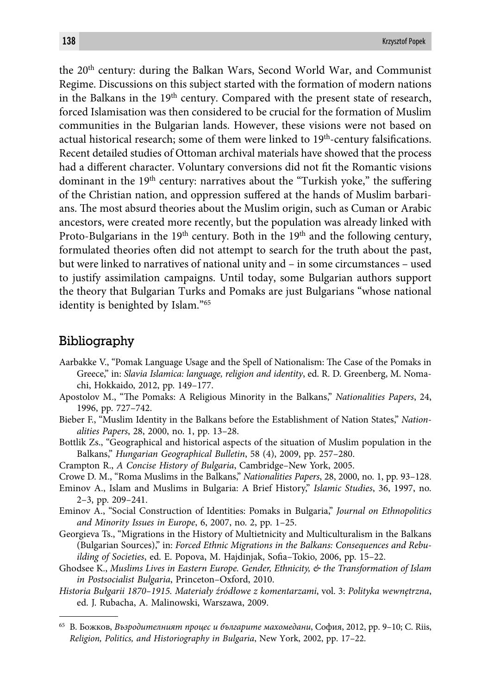the 20<sup>th</sup> century: during the Balkan Wars, Second World War, and Communist Regime. Discussions on this subject started with the formation of modern nations in the Balkans in the  $19<sup>th</sup>$  century. Compared with the present state of research, forced Islamisation was then considered to be crucial for the formation of Muslim communities in the Bulgarian lands. However, these visions were not based on actual historical research; some of them were linked to  $19<sup>th</sup>$ -century falsifications. Recent detailed studies of Ottoman archival materials have showed that the process had a different character. Voluntary conversions did not fit the Romantic visions dominant in the  $19<sup>th</sup>$  century: narratives about the "Turkish yoke," the suffering of the Christian nation, and oppression suffered at the hands of Muslim barbarians. The most absurd theories about the Muslim origin, such as Cuman or Arabic ancestors, were created more recently, but the population was already linked with Proto-Bulgarians in the 19<sup>th</sup> century. Both in the 19<sup>th</sup> and the following century, formulated theories often did not attempt to search for the truth about the past, but were linked to narratives of national unity and – in some circumstances – used to justify assimilation campaigns. Until today, some Bulgarian authors support the theory that Bulgarian Turks and Pomaks are just Bulgarians "whose national identity is benighted by Islam."65

### Bibliography

- Aarbakke V., "Pomak Language Usage and the Spell of Nationalism: The Case of the Pomaks in Greece," in: *Slavia Islamica: language, religion and identity*, ed. R. D. Greenberg, M. Nomachi, Hokkaido, 2012, pp. 149–177.
- Apostolov M., "The Pomaks: A Religious Minority in the Balkans," *Nationalities Papers*, 24, 1996, pp. 727–742.
- Bieber F., "Muslim Identity in the Balkans before the Establishment of Nation States," *Nationalities Papers*, 28, 2000, no. 1, pp. 13–28.
- Bottlik Zs., "Geographical and historical aspects of the situation of Muslim population in the Balkans," *Hungarian Geographical Bulletin*, 58 (4), 2009, pp. 257–280.
- Crampton R., *A Concise History of Bulgaria*, Cambridge–New York, 2005.
- Crowe D. M., "Roma Muslims in the Balkans," *Nationalities Papers*, 28, 2000, no. 1, pp. 93–128.
- Eminov A., Islam and Muslims in Bulgaria: A Brief History," *Islamic Studies*, 36, 1997, no. 2–3, pp. 209–241.
- Eminov A., "Social Construction of Identities: Pomaks in Bulgaria," *Journal on Ethnopolitics and Minority Issues in Europe*, 6, 2007, no. 2, pp. 1–25.
- Georgieva Ts., "Migrations in the History of Multietnicity and Multiculturalism in the Balkans (Bulgarian Sources)," in: *Forced Ethnic Migrations in the Balkans: Consequences and Rebuilding of Societies, ed. E. Popova, M. Hajdinjak, Sofia-Tokio, 2006, pp. 15-22.*
- Ghodsee K., *Muslims Lives in Eastern Europe. Gender, Ethnicity, & the Transformation of Islam in Postsocialist Bulgaria*, Princeton–Oxford, 2010.
- *Historia Bułgarii 1870–1915. Materiały źródłowe z komentarzami*, vol. 3: *Polityka wewnętrzna*, ed. J. Rubacha, A. Malinowski, Warszawa, 2009.

<sup>65</sup> В. Божков, *Възродителният процес и българите махомедани*, София, 2012, pp. 9–10; C. Riis, *Religion, Politics, and Historiography in Bulgaria*, New York, 2002, pp. 17–22.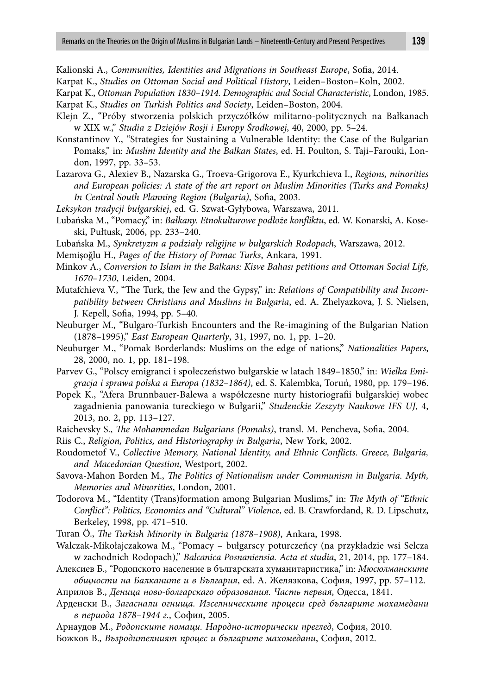Kalionski A., *Communities, Identities and Migrations in Southeast Europe*, Sofia, 2014.

Karpat K., *Studies on Ottoman Social and Political History*, Leiden–Boston–Koln, 2002.

Karpat K., *Ottoman Population 1830–1914. Demographic and Social Characteristic*, London, 1985. Karpat K., *Studies on Turkish Politics and Society*, Leiden–Boston, 2004.

- Klejn Z., "Próby stworzenia polskich przyczółków militarno-politycznych na Bałkanach w XIX w.," *Studia z Dziejów Rosji i Europy Środkowej*, 40, 2000, pp. 5–24.
- Konstantinov Y., "Strategies for Sustaining a Vulnerable Identity: the Case of the Bulgarian Pomaks," in: *Muslim Identity and the Balkan States*, ed. H. Poulton, S. Taji–Farouki, London, 1997, pp. 33–53.
- Lazarova G., Alexiev B., Nazarska G., Troeva-Grigorova E., Kyurkchieva I., *Regions, minorities and European policies: A state of the art report on Muslim Minorities (Turks and Pomaks) In Central South Planning Region (Bulgaria)*, Sofia, 2003.
- *Leksykon tradycji bułgarskiej*, ed. G. Szwat-Gyłybowa, Warszawa, 2011.
- Lubańska M., "Pomacy," in: *Bałkany. Etnokulturowe podłoże konfl iktu*, ed. W. Konarski, A. Koseski, Pułtusk, 2006, pp. 233–240.
- Lubańska M., *Synkretyzm a podziały religijne w bułgarskich Rodopach*, Warszawa, 2012.
- Memişoğlu H., *Pages of the History of Pomac Turks*, Ankara, 1991.
- Minkov A., *Conversion to Islam in the Balkans: Kisve Bahası petitions and Ottoman Social Life, 1670–1730*, Leiden, 2004.
- Mutafchieva V., "The Turk, the Jew and the Gypsy," in: *Relations of Compatibility and Incompatibility between Christians and Muslims in Bulgaria*, ed. A. Zhelyazkova, J. S. Nielsen, J. Kepell, Sofia, 1994, pp. 5-40.

Neuburger M., "Bulgaro-Turkish Encounters and the Re-imagining of the Bulgarian Nation (1878–1995)," *East European Quarterly*, 31, 1997, no. 1, pp. 1–20.

- Neuburger M., "Pomak Borderlands: Muslims on the edge of nations," *Nationalities Papers*, 28, 2000, no. 1, pp. 181–198.
- Parvev G., "Polscy emigranci i społeczeństwo bułgarskie w latach 1849–1850," in: *Wielka Emigracja i sprawa polska a Europa (1832–1864)*, ed. S. Kalembka, Toruń, 1980, pp. 179–196.
- Popek K., "Afera Brunnbauer-Balewa a współczesne nurty historiografi i bułgarskiej wobec zagadnienia panowania tureckiego w Bułgarii," *Studenckie Zeszyty Naukowe IFS UJ*, 4, 2013, no. 2, pp. 113–127.
- Raichevsky S., *The Mohammedan Bulgarians (Pomaks)*, transl. M. Pencheva, Sofia, 2004.

Riis C., *Religion, Politics, and Historiography in Bulgaria*, New York, 2002.

- Roudometof V., *Collective Memory, National Identity, and Ethnic Conflicts. Greece, Bulgaria, and Macedonian Question*, Westport, 2002.
- Savova-Mahon Borden M., *The Politics of Nationalism under Communism in Bulgaria. Myth*, *Memories and Minorities*, London, 2001.
- Todorova M., "Identity (Trans)formation among Bulgarian Muslims," in: *The Myth of "Ethnic Confl ict": Politics, Economics and "Cultural" Violence*, ed. B. Crawfordand, R. D. Lipschutz, Berkeley, 1998, pp. 471–510.

Turan Ö., *The Turkish Minority in Bulgaria (1878–1908)*, Ankara, 1998.

- Walczak-Mikołajczakowa M., "Pomacy bułgarscy poturczeńcy (na przykładzie wsi Selcza w zachodnich Rodopach)," *Balcanica Posnaniensia. Acta et studia*, 21, 2014, pp. 177–184.
- Алексиев Б., "Родопското население в българската хуман итаристика," in: *Мюсюлманските общности на Балканите и в България*, ed. A. Желязкова, София, 1997, pp. 57–112.

Априлов В., *Деница ново-болгарскаго образования. Часть первая*, Одесса, 1841.

Арденски В., *Загаснали огнища. Изселническите процеси сред българите мохамедани в периода 1878–1944 г.*, София, 2005.

Арнаудов М., *Родопските помаци. Народно-исторически преглед*, София, 2010.

Божков В., *Възродителният процес и българите махомедани*, София, 2012.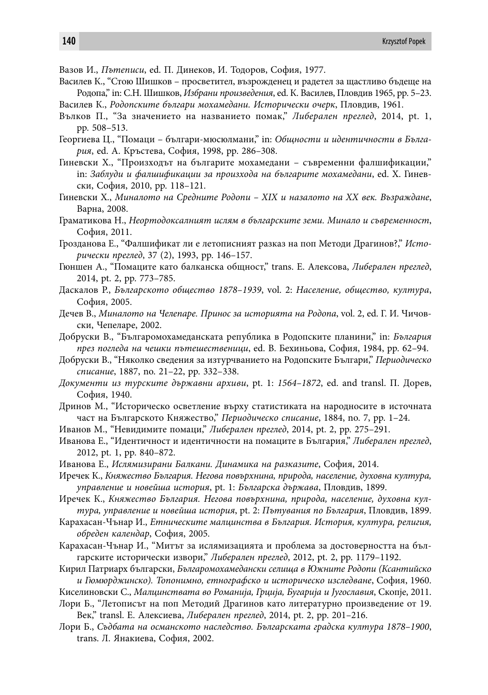- Вазов И., *Пътеписи*, ed. П. Динеков, И. Тодоров, София, 1977.
- Василев К., "Стою Шишков просветител, възрожденец и радетел за щастливо бъдеще на Родопа," in: С.Н. Шишков, *Избрани произведения*, ed. К. Василев, Пловдив 1965, pp. 5–23.
- Василев К., *Родопските българи мохамедани. Исторически очерк*, Пловдив, 1961.
- Вълков П., "За значението на названието помак," *Либерален преглед*, 2014, pt. 1, pp. 508–513.
- Георгиева Ц., "Помаци българи-мюсюлмани," in: *Общности и идентичности в България*, ed. А. Кръстева, София, 1998, pp. 286–308.
- Гиневски Х., "Произходът на българите мохамедани съвременни фалшификации," in: *Заблуди и фалшификации за произхода на българите мохамедани*, ed. Х. Гиневски, София, 2010, pp. 118–121.
- Гиневски Х., *Миналото на Средните Родопи XIX и назалото на XX век. Възраждане*, Варна, 2008.
- Граматикова Н., *Неортодоксалният ислям в българските земи. Минало и съвременност*, София, 2011.
- Грозданова Е., "Фалшификат ли е летописният разказ на поп Методи Драгинов?," *Исторически преглед*, 37 (2), 1993, pp. 146–157.
- Гюншен А., "Помаците като балканска общност," trans. Е. Алексова, *Либерален преглед*, 2014, pt. 2, pp. 773–785.
- Даскалов Р., *Българското общество 1878–1939*, vol. 2: *Население, общество, култура*, София, 2005.
- Дечев В., *Миналото на Челепаре. Принос за историята на Родопа*, vol. 2, ed. Г. И. Чичовски, Чепеларе, 2002.
- Добруски В., "Българомохамеданската република в Родопските планини," in: *България през погледа на чешки пътешественици*, ed. В. Бехиньова, София, 1984, pp. 62–94.
- Добруски В., "Няколко сведения за изтурчванието на Родопските Българи," *Периодическо списание*, 1887, no. 21–22, pp. 332–338.
- *Документи из турските държавни архиви*, pt. 1: *1564–1872*, ed. and transl. П. Дорев, София, 1940.
- Дринов М., "Историческо осветление върху статистиката на народносите в источната част на Българското Княжество," *Периодическо списание*, 1884, no. 7, pp. 1–24.
- Иванов М., "Невидимите помаци," *Либерален преглед*, 2014, pt. 2, pp. 275–291.
- Иванова Е., "Идентичност и идентичности на помаците в България," *Либерален преглед*, 2012, pt. 1, pp. 840–872.
- Иванова Е., *Ислямизирани Балкани. Динамика на разказите*, София, 2014.
- Иречек К., *Княжество България. Негова повърхнина, природа, население, духовна култура, управление и новейша история*, pt. 1: *Българска държава*, Пловдив, 1899.
- Иречек К., *Княжество България. Негова повърхнина, природа, население, духовна култура, управление и новейша история*, pt. 2: *Пътувания по България*, Пловдив, 1899.
- Карахасан-Чънар И., *Етническите малцинства в България. История, култура, религия, обреден календар*, София, 2005.
- Карахасан-Чънар И., "Митът за ислямизацията и проблема за достоверността на българските исторически извори," *Либерален преглед*, 2012, pt. 2, pp. 1179–1192.
- Кирил Патриарх български, *Българомохамедански селища в Южните Родопи (Ксантийско и Гюмюрджинско). Топонимно, етнографско и историческо изследване*, София, 1960.
- Киселиновски С., *Малцинствата во Романиja, Грциja, Бугариja и Jугославия*, Скопjе, 2011.
- Лори Б., "Летописът на поп Методий Драгинов като литературно произведение от 19. Век," transl. Е. Алексиева, *Либерален преглед*, 2014, pt. 2, pp. 201–216.
- Лори Б., *Съдбата на османското наследство. Българската градска култура 1878–1900*, trans. Л. Янакиева, София, 2002.